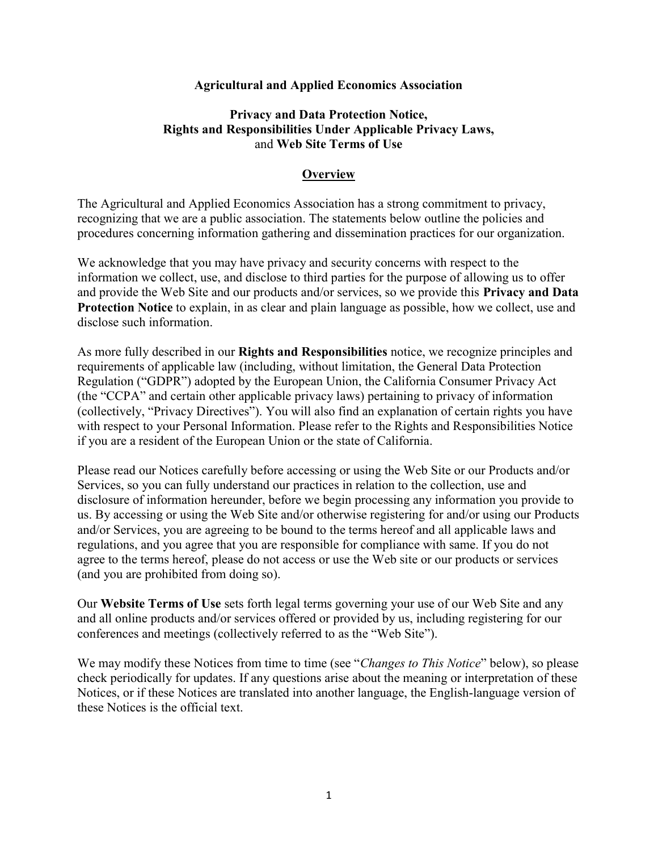## Agricultural and Applied Economics Association

## Privacy and Data Protection Notice, Rights and Responsibilities Under Applicable Privacy Laws, and Web Site Terms of Use

#### **Overview**

The Agricultural and Applied Economics Association has a strong commitment to privacy, recognizing that we are a public association. The statements below outline the policies and procedures concerning information gathering and dissemination practices for our organization.

We acknowledge that you may have privacy and security concerns with respect to the information we collect, use, and disclose to third parties for the purpose of allowing us to offer and provide the Web Site and our products and/or services, so we provide this Privacy and Data Protection Notice to explain, in as clear and plain language as possible, how we collect, use and disclose such information.

As more fully described in our **Rights and Responsibilities** notice, we recognize principles and requirements of applicable law (including, without limitation, the General Data Protection Regulation ("GDPR") adopted by the European Union, the California Consumer Privacy Act (the "CCPA" and certain other applicable privacy laws) pertaining to privacy of information (collectively, "Privacy Directives"). You will also find an explanation of certain rights you have with respect to your Personal Information. Please refer to the Rights and Responsibilities Notice if you are a resident of the European Union or the state of California.

Please read our Notices carefully before accessing or using the Web Site or our Products and/or Services, so you can fully understand our practices in relation to the collection, use and disclosure of information hereunder, before we begin processing any information you provide to us. By accessing or using the Web Site and/or otherwise registering for and/or using our Products and/or Services, you are agreeing to be bound to the terms hereof and all applicable laws and regulations, and you agree that you are responsible for compliance with same. If you do not agree to the terms hereof, please do not access or use the Web site or our products or services (and you are prohibited from doing so).

Our Website Terms of Use sets forth legal terms governing your use of our Web Site and any and all online products and/or services offered or provided by us, including registering for our conferences and meetings (collectively referred to as the "Web Site").

We may modify these Notices from time to time (see "Changes to This Notice" below), so please check periodically for updates. If any questions arise about the meaning or interpretation of these Notices, or if these Notices are translated into another language, the English-language version of these Notices is the official text.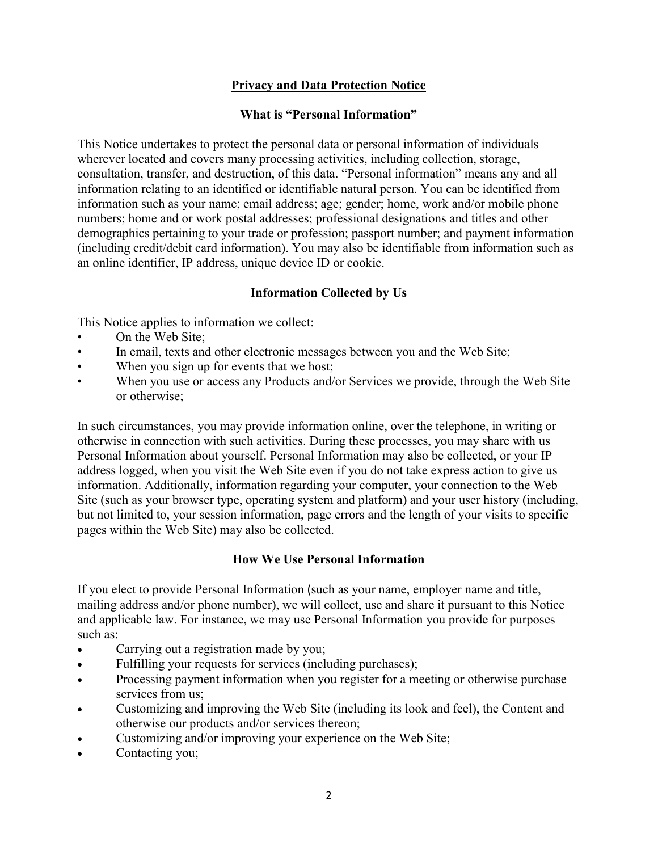## Privacy and Data Protection Notice

## What is "Personal Information"

This Notice undertakes to protect the personal data or personal information of individuals wherever located and covers many processing activities, including collection, storage, consultation, transfer, and destruction, of this data. "Personal information" means any and all information relating to an identified or identifiable natural person. You can be identified from information such as your name; email address; age; gender; home, work and/or mobile phone numbers; home and or work postal addresses; professional designations and titles and other demographics pertaining to your trade or profession; passport number; and payment information (including credit/debit card information). You may also be identifiable from information such as an online identifier, IP address, unique device ID or cookie.

## Information Collected by Us

This Notice applies to information we collect:

- On the Web Site;
- In email, texts and other electronic messages between you and the Web Site;
- When you sign up for events that we host;
- When you use or access any Products and/or Services we provide, through the Web Site or otherwise;

In such circumstances, you may provide information online, over the telephone, in writing or otherwise in connection with such activities. During these processes, you may share with us Personal Information about yourself. Personal Information may also be collected, or your IP address logged, when you visit the Web Site even if you do not take express action to give us information. Additionally, information regarding your computer, your connection to the Web Site (such as your browser type, operating system and platform) and your user history (including, but not limited to, your session information, page errors and the length of your visits to specific pages within the Web Site) may also be collected.

## How We Use Personal Information

If you elect to provide Personal Information (such as your name, employer name and title, mailing address and/or phone number), we will collect, use and share it pursuant to this Notice and applicable law. For instance, we may use Personal Information you provide for purposes such as:

- Carrying out a registration made by you;
- Fulfilling your requests for services (including purchases);
- Processing payment information when you register for a meeting or otherwise purchase services from us;
- Customizing and improving the Web Site (including its look and feel), the Content and otherwise our products and/or services thereon;
- Customizing and/or improving your experience on the Web Site;
- Contacting you;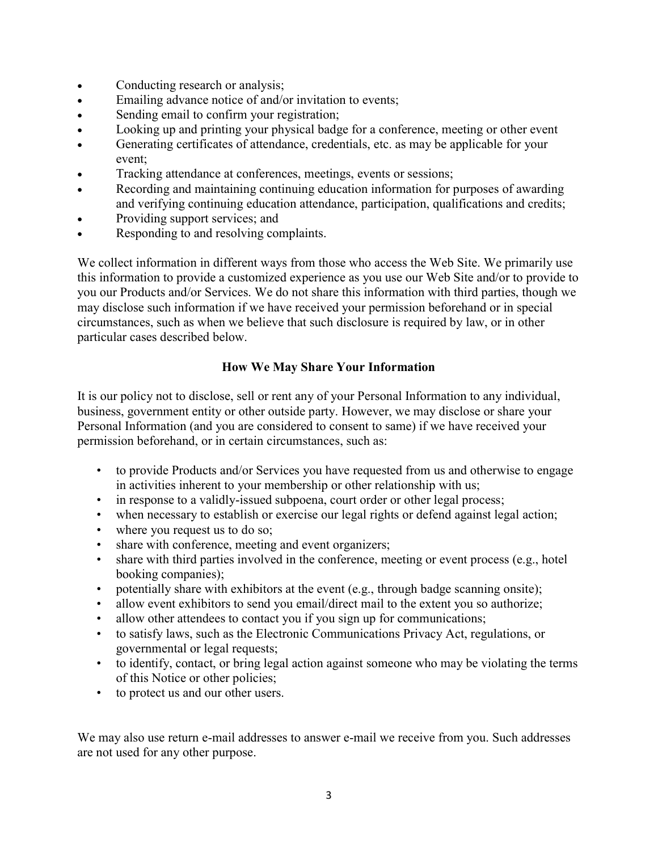- Conducting research or analysis;
- Emailing advance notice of and/or invitation to events;
- Sending email to confirm your registration;
- Looking up and printing your physical badge for a conference, meeting or other event
- Generating certificates of attendance, credentials, etc. as may be applicable for your event;
- Tracking attendance at conferences, meetings, events or sessions;
- Recording and maintaining continuing education information for purposes of awarding and verifying continuing education attendance, participation, qualifications and credits;
- Providing support services; and
- Responding to and resolving complaints.

We collect information in different ways from those who access the Web Site. We primarily use this information to provide a customized experience as you use our Web Site and/or to provide to you our Products and/or Services. We do not share this information with third parties, though we may disclose such information if we have received your permission beforehand or in special circumstances, such as when we believe that such disclosure is required by law, or in other particular cases described below.

## How We May Share Your Information

It is our policy not to disclose, sell or rent any of your Personal Information to any individual, business, government entity or other outside party. However, we may disclose or share your Personal Information (and you are considered to consent to same) if we have received your permission beforehand, or in certain circumstances, such as:

- to provide Products and/or Services you have requested from us and otherwise to engage in activities inherent to your membership or other relationship with us;
- in response to a validly-issued subpoena, court order or other legal process;
- when necessary to establish or exercise our legal rights or defend against legal action;
- where you request us to do so;
- share with conference, meeting and event organizers;
- share with third parties involved in the conference, meeting or event process (e.g., hotel booking companies);
- potentially share with exhibitors at the event (e.g., through badge scanning onsite);
- allow event exhibitors to send you email/direct mail to the extent you so authorize;
- allow other attendees to contact you if you sign up for communications;
- to satisfy laws, such as the Electronic Communications Privacy Act, regulations, or governmental or legal requests;
- to identify, contact, or bring legal action against someone who may be violating the terms of this Notice or other policies;
- to protect us and our other users.

We may also use return e-mail addresses to answer e-mail we receive from you. Such addresses are not used for any other purpose.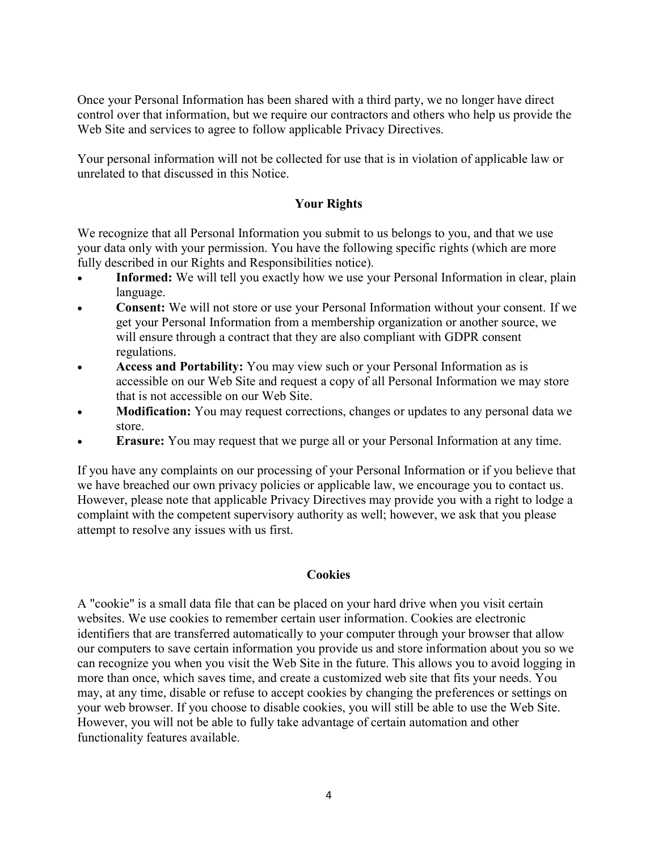Once your Personal Information has been shared with a third party, we no longer have direct control over that information, but we require our contractors and others who help us provide the Web Site and services to agree to follow applicable Privacy Directives.

Your personal information will not be collected for use that is in violation of applicable law or unrelated to that discussed in this Notice.

## Your Rights

We recognize that all Personal Information you submit to us belongs to you, and that we use your data only with your permission. You have the following specific rights (which are more fully described in our Rights and Responsibilities notice).

- Informed: We will tell you exactly how we use your Personal Information in clear, plain language.
- Consent: We will not store or use your Personal Information without your consent. If we get your Personal Information from a membership organization or another source, we will ensure through a contract that they are also compliant with GDPR consent regulations.
- Access and Portability: You may view such or your Personal Information as is accessible on our Web Site and request a copy of all Personal Information we may store that is not accessible on our Web Site.
- Modification: You may request corrections, changes or updates to any personal data we store.
- Erasure: You may request that we purge all or your Personal Information at any time.

If you have any complaints on our processing of your Personal Information or if you believe that we have breached our own privacy policies or applicable law, we encourage you to contact us. However, please note that applicable Privacy Directives may provide you with a right to lodge a complaint with the competent supervisory authority as well; however, we ask that you please attempt to resolve any issues with us first.

## **Cookies**

A "cookie" is a small data file that can be placed on your hard drive when you visit certain websites. We use cookies to remember certain user information. Cookies are electronic identifiers that are transferred automatically to your computer through your browser that allow our computers to save certain information you provide us and store information about you so we can recognize you when you visit the Web Site in the future. This allows you to avoid logging in more than once, which saves time, and create a customized web site that fits your needs. You may, at any time, disable or refuse to accept cookies by changing the preferences or settings on your web browser. If you choose to disable cookies, you will still be able to use the Web Site. However, you will not be able to fully take advantage of certain automation and other functionality features available.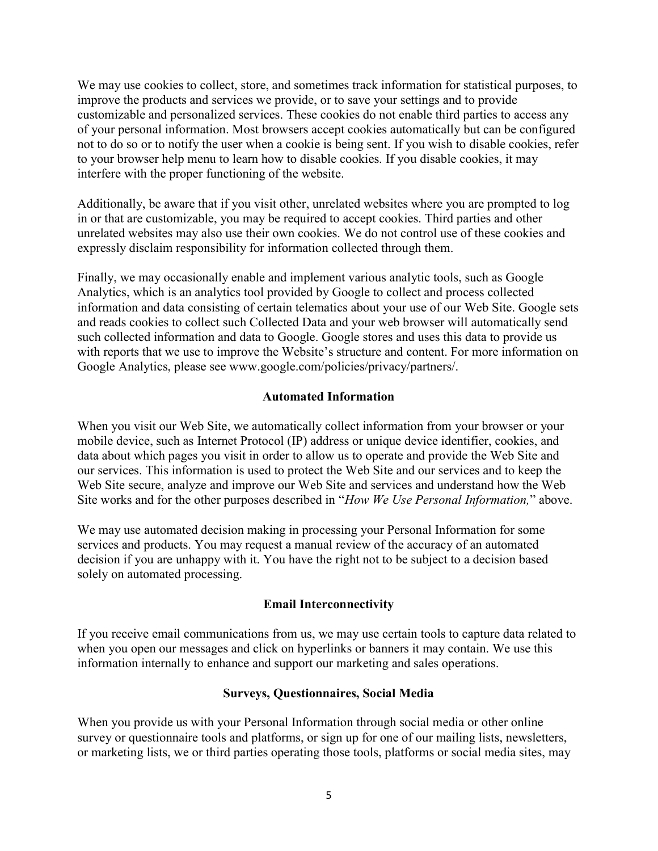We may use cookies to collect, store, and sometimes track information for statistical purposes, to improve the products and services we provide, or to save your settings and to provide customizable and personalized services. These cookies do not enable third parties to access any of your personal information. Most browsers accept cookies automatically but can be configured not to do so or to notify the user when a cookie is being sent. If you wish to disable cookies, refer to your browser help menu to learn how to disable cookies. If you disable cookies, it may interfere with the proper functioning of the website.

Additionally, be aware that if you visit other, unrelated websites where you are prompted to log in or that are customizable, you may be required to accept cookies. Third parties and other unrelated websites may also use their own cookies. We do not control use of these cookies and expressly disclaim responsibility for information collected through them.

Finally, we may occasionally enable and implement various analytic tools, such as Google Analytics, which is an analytics tool provided by Google to collect and process collected information and data consisting of certain telematics about your use of our Web Site. Google sets and reads cookies to collect such Collected Data and your web browser will automatically send such collected information and data to Google. Google stores and uses this data to provide us with reports that we use to improve the Website's structure and content. For more information on Google Analytics, please see www.google.com/policies/privacy/partners/.

## Automated Information

When you visit our Web Site, we automatically collect information from your browser or your mobile device, such as Internet Protocol (IP) address or unique device identifier, cookies, and data about which pages you visit in order to allow us to operate and provide the Web Site and our services. This information is used to protect the Web Site and our services and to keep the Web Site secure, analyze and improve our Web Site and services and understand how the Web Site works and for the other purposes described in "How We Use Personal Information," above.

We may use automated decision making in processing your Personal Information for some services and products. You may request a manual review of the accuracy of an automated decision if you are unhappy with it. You have the right not to be subject to a decision based solely on automated processing.

## Email Interconnectivity

If you receive email communications from us, we may use certain tools to capture data related to when you open our messages and click on hyperlinks or banners it may contain. We use this information internally to enhance and support our marketing and sales operations.

## Surveys, Questionnaires, Social Media

When you provide us with your Personal Information through social media or other online survey or questionnaire tools and platforms, or sign up for one of our mailing lists, newsletters, or marketing lists, we or third parties operating those tools, platforms or social media sites, may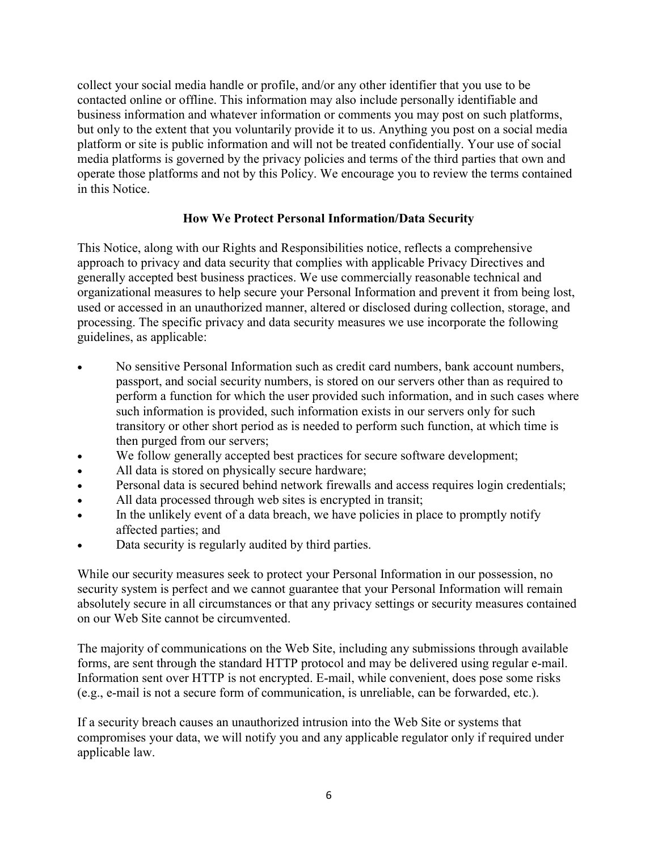collect your social media handle or profile, and/or any other identifier that you use to be contacted online or offline. This information may also include personally identifiable and business information and whatever information or comments you may post on such platforms, but only to the extent that you voluntarily provide it to us. Anything you post on a social media platform or site is public information and will not be treated confidentially. Your use of social media platforms is governed by the privacy policies and terms of the third parties that own and operate those platforms and not by this Policy. We encourage you to review the terms contained in this Notice.

## How We Protect Personal Information/Data Security

This Notice, along with our Rights and Responsibilities notice, reflects a comprehensive approach to privacy and data security that complies with applicable Privacy Directives and generally accepted best business practices. We use commercially reasonable technical and organizational measures to help secure your Personal Information and prevent it from being lost, used or accessed in an unauthorized manner, altered or disclosed during collection, storage, and processing. The specific privacy and data security measures we use incorporate the following guidelines, as applicable:

- No sensitive Personal Information such as credit card numbers, bank account numbers, passport, and social security numbers, is stored on our servers other than as required to perform a function for which the user provided such information, and in such cases where such information is provided, such information exists in our servers only for such transitory or other short period as is needed to perform such function, at which time is then purged from our servers;
- We follow generally accepted best practices for secure software development;
- All data is stored on physically secure hardware;
- Personal data is secured behind network firewalls and access requires login credentials;
- All data processed through web sites is encrypted in transit;
- In the unlikely event of a data breach, we have policies in place to promptly notify affected parties; and
- Data security is regularly audited by third parties.

While our security measures seek to protect your Personal Information in our possession, no security system is perfect and we cannot guarantee that your Personal Information will remain absolutely secure in all circumstances or that any privacy settings or security measures contained on our Web Site cannot be circumvented.

The majority of communications on the Web Site, including any submissions through available forms, are sent through the standard HTTP protocol and may be delivered using regular e-mail. Information sent over HTTP is not encrypted. E-mail, while convenient, does pose some risks (e.g., e-mail is not a secure form of communication, is unreliable, can be forwarded, etc.).

If a security breach causes an unauthorized intrusion into the Web Site or systems that compromises your data, we will notify you and any applicable regulator only if required under applicable law.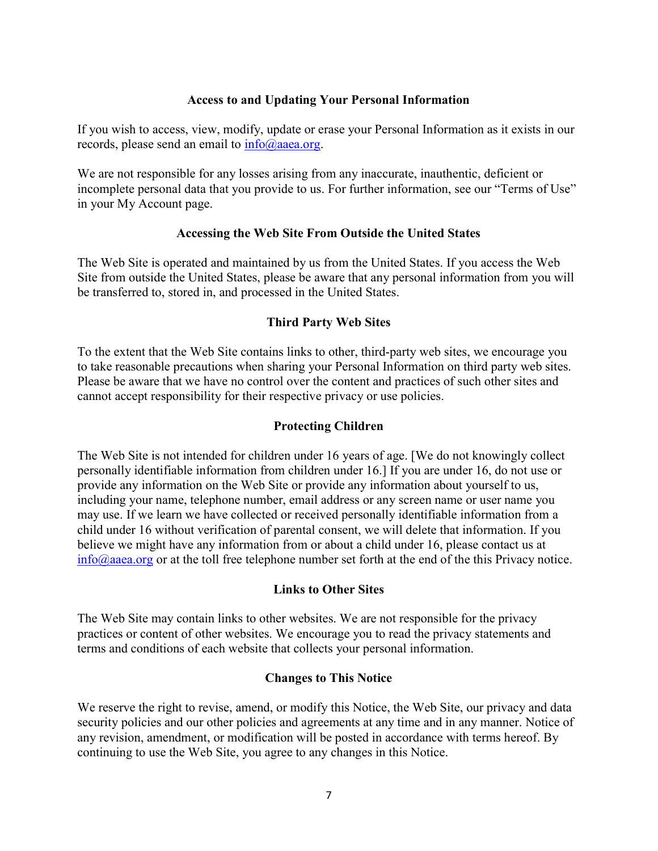## Access to and Updating Your Personal Information

If you wish to access, view, modify, update or erase your Personal Information as it exists in our records, please send an email to  $info@aaea.org$ .

We are not responsible for any losses arising from any inaccurate, inauthentic, deficient or incomplete personal data that you provide to us. For further information, see our "Terms of Use" in your My Account page.

## Accessing the Web Site From Outside the United States

The Web Site is operated and maintained by us from the United States. If you access the Web Site from outside the United States, please be aware that any personal information from you will be transferred to, stored in, and processed in the United States.

## Third Party Web Sites

To the extent that the Web Site contains links to other, third-party web sites, we encourage you to take reasonable precautions when sharing your Personal Information on third party web sites. Please be aware that we have no control over the content and practices of such other sites and cannot accept responsibility for their respective privacy or use policies.

#### Protecting Children

The Web Site is not intended for children under 16 years of age. [We do not knowingly collect personally identifiable information from children under 16.] If you are under 16, do not use or provide any information on the Web Site or provide any information about yourself to us, including your name, telephone number, email address or any screen name or user name you may use. If we learn we have collected or received personally identifiable information from a child under 16 without verification of parental consent, we will delete that information. If you believe we might have any information from or about a child under 16, please contact us at  $info@aaea.org$  or at the toll free telephone number set forth at the end of the this Privacy notice.

#### Links to Other Sites

The Web Site may contain links to other websites. We are not responsible for the privacy practices or content of other websites. We encourage you to read the privacy statements and terms and conditions of each website that collects your personal information.

#### Changes to This Notice

We reserve the right to revise, amend, or modify this Notice, the Web Site, our privacy and data security policies and our other policies and agreements at any time and in any manner. Notice of any revision, amendment, or modification will be posted in accordance with terms hereof. By continuing to use the Web Site, you agree to any changes in this Notice.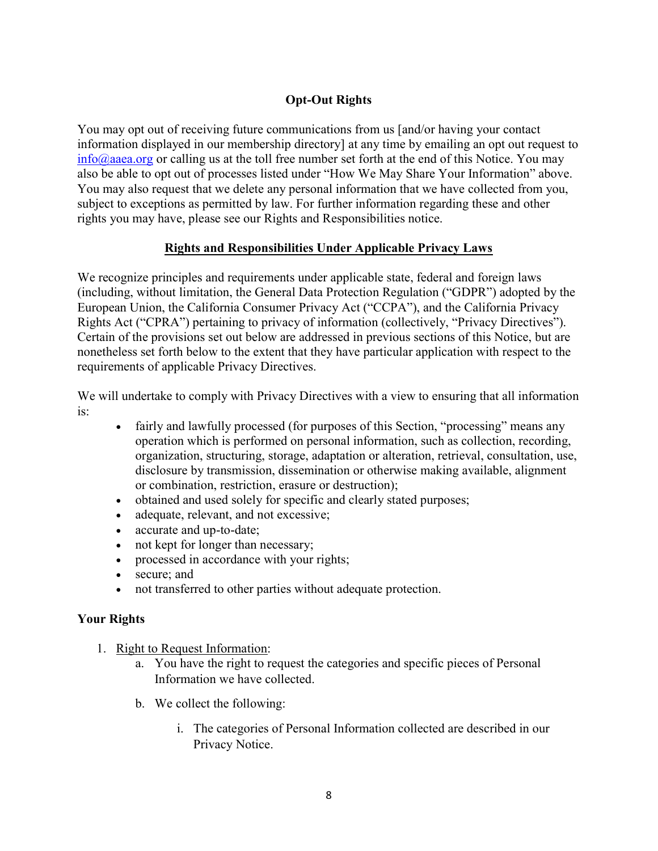# Opt-Out Rights

You may opt out of receiving future communications from us [and/or having your contact information displayed in our membership directory] at any time by emailing an opt out request to  $info(\partial_{\alpha})$  or calling us at the toll free number set forth at the end of this Notice. You may also be able to opt out of processes listed under "How We May Share Your Information" above. You may also request that we delete any personal information that we have collected from you, subject to exceptions as permitted by law. For further information regarding these and other rights you may have, please see our Rights and Responsibilities notice.

## Rights and Responsibilities Under Applicable Privacy Laws

We recognize principles and requirements under applicable state, federal and foreign laws (including, without limitation, the General Data Protection Regulation ("GDPR") adopted by the European Union, the California Consumer Privacy Act ("CCPA"), and the California Privacy Rights Act ("CPRA") pertaining to privacy of information (collectively, "Privacy Directives"). Certain of the provisions set out below are addressed in previous sections of this Notice, but are nonetheless set forth below to the extent that they have particular application with respect to the requirements of applicable Privacy Directives.

We will undertake to comply with Privacy Directives with a view to ensuring that all information is:

- fairly and lawfully processed (for purposes of this Section, "processing" means any operation which is performed on personal information, such as collection, recording, organization, structuring, storage, adaptation or alteration, retrieval, consultation, use, disclosure by transmission, dissemination or otherwise making available, alignment or combination, restriction, erasure or destruction);
- obtained and used solely for specific and clearly stated purposes;
- adequate, relevant, and not excessive;
- accurate and up-to-date;
- not kept for longer than necessary;
- processed in accordance with your rights;
- secure; and
- not transferred to other parties without adequate protection.

## Your Rights

- 1. Right to Request Information:
	- a. You have the right to request the categories and specific pieces of Personal Information we have collected.
	- b. We collect the following:
		- i. The categories of Personal Information collected are described in our Privacy Notice.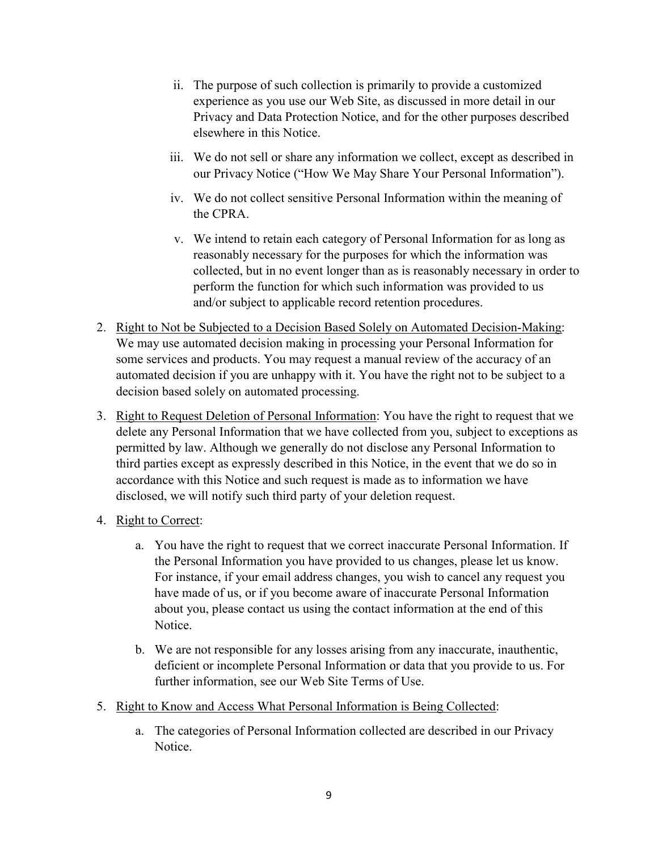- ii. The purpose of such collection is primarily to provide a customized experience as you use our Web Site, as discussed in more detail in our Privacy and Data Protection Notice, and for the other purposes described elsewhere in this Notice.
- iii. We do not sell or share any information we collect, except as described in our Privacy Notice ("How We May Share Your Personal Information").
- iv. We do not collect sensitive Personal Information within the meaning of the CPRA.
- v. We intend to retain each category of Personal Information for as long as reasonably necessary for the purposes for which the information was collected, but in no event longer than as is reasonably necessary in order to perform the function for which such information was provided to us and/or subject to applicable record retention procedures.
- 2. Right to Not be Subjected to a Decision Based Solely on Automated Decision-Making: We may use automated decision making in processing your Personal Information for some services and products. You may request a manual review of the accuracy of an automated decision if you are unhappy with it. You have the right not to be subject to a decision based solely on automated processing.
- 3. Right to Request Deletion of Personal Information: You have the right to request that we delete any Personal Information that we have collected from you, subject to exceptions as permitted by law. Although we generally do not disclose any Personal Information to third parties except as expressly described in this Notice, in the event that we do so in accordance with this Notice and such request is made as to information we have disclosed, we will notify such third party of your deletion request.
- 4. Right to Correct:
	- a. You have the right to request that we correct inaccurate Personal Information. If the Personal Information you have provided to us changes, please let us know. For instance, if your email address changes, you wish to cancel any request you have made of us, or if you become aware of inaccurate Personal Information about you, please contact us using the contact information at the end of this Notice.
	- b. We are not responsible for any losses arising from any inaccurate, inauthentic, deficient or incomplete Personal Information or data that you provide to us. For further information, see our Web Site Terms of Use.
- 5. Right to Know and Access What Personal Information is Being Collected:
	- a. The categories of Personal Information collected are described in our Privacy Notice.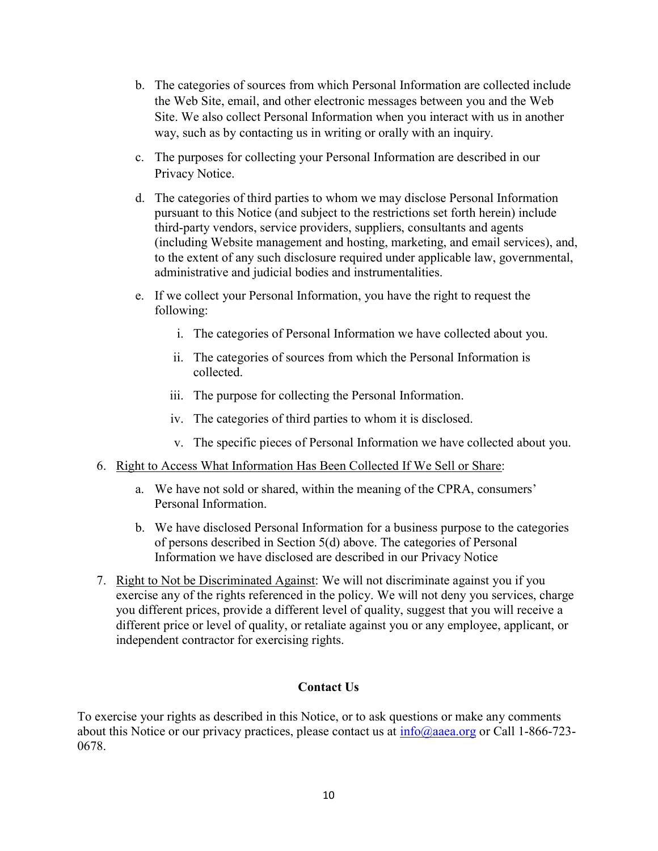- b. The categories of sources from which Personal Information are collected include the Web Site, email, and other electronic messages between you and the Web Site. We also collect Personal Information when you interact with us in another way, such as by contacting us in writing or orally with an inquiry.
- c. The purposes for collecting your Personal Information are described in our Privacy Notice.
- d. The categories of third parties to whom we may disclose Personal Information pursuant to this Notice (and subject to the restrictions set forth herein) include third-party vendors, service providers, suppliers, consultants and agents (including Website management and hosting, marketing, and email services), and, to the extent of any such disclosure required under applicable law, governmental, administrative and judicial bodies and instrumentalities.
- e. If we collect your Personal Information, you have the right to request the following:
	- i. The categories of Personal Information we have collected about you.
	- ii. The categories of sources from which the Personal Information is collected.
	- iii. The purpose for collecting the Personal Information.
	- iv. The categories of third parties to whom it is disclosed.
	- v. The specific pieces of Personal Information we have collected about you.
- 6. Right to Access What Information Has Been Collected If We Sell or Share:
	- a. We have not sold or shared, within the meaning of the CPRA, consumers' Personal Information.
	- b. We have disclosed Personal Information for a business purpose to the categories of persons described in Section 5(d) above. The categories of Personal Information we have disclosed are described in our Privacy Notice
- 7. Right to Not be Discriminated Against: We will not discriminate against you if you exercise any of the rights referenced in the policy. We will not deny you services, charge you different prices, provide a different level of quality, suggest that you will receive a different price or level of quality, or retaliate against you or any employee, applicant, or independent contractor for exercising rights.

## Contact Us

To exercise your rights as described in this Notice, or to ask questions or make any comments about this Notice or our privacy practices, please contact us at  $info(\omega)$  aaea.org or Call 1-866-723-0678.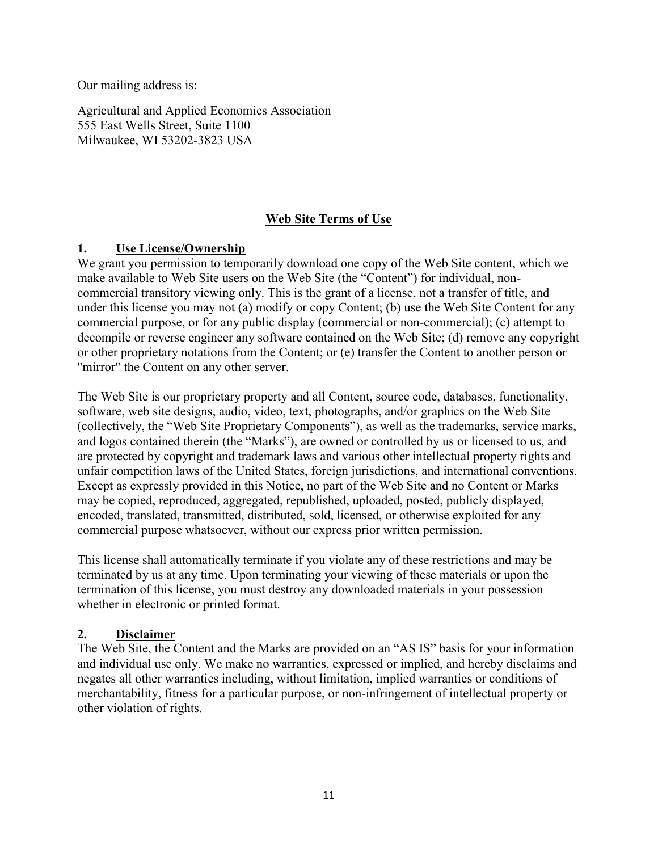Our mailing address is:

Agricultural and Applied Economics Association 555 East Wells Street, Suite 1100 Milwaukee, WI 53202-3823 USA

# Web Site Terms of Use

## 1. Use License/Ownership

We grant you permission to temporarily download one copy of the Web Site content, which we make available to Web Site users on the Web Site (the "Content") for individual, noncommercial transitory viewing only. This is the grant of a license, not a transfer of title, and under this license you may not (a) modify or copy Content; (b) use the Web Site Content for any commercial purpose, or for any public display (commercial or non-commercial); (c) attempt to decompile or reverse engineer any software contained on the Web Site; (d) remove any copyright or other proprietary notations from the Content; or (e) transfer the Content to another person or "mirror" the Content on any other server.

The Web Site is our proprietary property and all Content, source code, databases, functionality, software, web site designs, audio, video, text, photographs, and/or graphics on the Web Site (collectively, the "Web Site Proprietary Components"), as well as the trademarks, service marks, and logos contained therein (the "Marks"), are owned or controlled by us or licensed to us, and are protected by copyright and trademark laws and various other intellectual property rights and unfair competition laws of the United States, foreign jurisdictions, and international conventions. Except as expressly provided in this Notice, no part of the Web Site and no Content or Marks may be copied, reproduced, aggregated, republished, uploaded, posted, publicly displayed, encoded, translated, transmitted, distributed, sold, licensed, or otherwise exploited for any commercial purpose whatsoever, without our express prior written permission.

This license shall automatically terminate if you violate any of these restrictions and may be terminated by us at any time. Upon terminating your viewing of these materials or upon the termination of this license, you must destroy any downloaded materials in your possession whether in electronic or printed format.

## 2. Disclaimer

The Web Site, the Content and the Marks are provided on an "AS IS" basis for your information and individual use only. We make no warranties, expressed or implied, and hereby disclaims and negates all other warranties including, without limitation, implied warranties or conditions of merchantability, fitness for a particular purpose, or non-infringement of intellectual property or other violation of rights.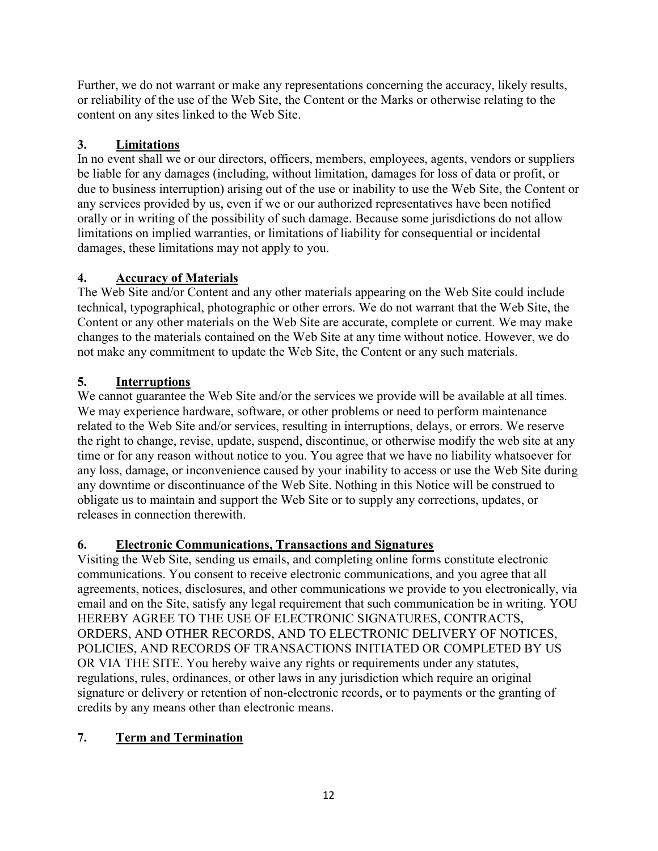Further, we do not warrant or make any representations concerning the accuracy, likely results, or reliability of the use of the Web Site, the Content or the Marks or otherwise relating to the content on any sites linked to the Web Site.

# 3. Limitations

In no event shall we or our directors, officers, members, employees, agents, vendors or suppliers be liable for any damages (including, without limitation, damages for loss of data or profit, or due to business interruption) arising out of the use or inability to use the Web Site, the Content or any services provided by us, even if we or our authorized representatives have been notified orally or in writing of the possibility of such damage. Because some jurisdictions do not allow limitations on implied warranties, or limitations of liability for consequential or incidental damages, these limitations may not apply to you.

# 4. Accuracy of Materials

The Web Site and/or Content and any other materials appearing on the Web Site could include technical, typographical, photographic or other errors. We do not warrant that the Web Site, the Content or any other materials on the Web Site are accurate, complete or current. We may make changes to the materials contained on the Web Site at any time without notice. However, we do not make any commitment to update the Web Site, the Content or any such materials.

# 5. Interruptions

We cannot guarantee the Web Site and/or the services we provide will be available at all times. We may experience hardware, software, or other problems or need to perform maintenance related to the Web Site and/or services, resulting in interruptions, delays, or errors. We reserve the right to change, revise, update, suspend, discontinue, or otherwise modify the web site at any time or for any reason without notice to you. You agree that we have no liability whatsoever for any loss, damage, or inconvenience caused by your inability to access or use the Web Site during any downtime or discontinuance of the Web Site. Nothing in this Notice will be construed to obligate us to maintain and support the Web Site or to supply any corrections, updates, or releases in connection therewith.

# 6. Electronic Communications, Transactions and Signatures

Visiting the Web Site, sending us emails, and completing online forms constitute electronic communications. You consent to receive electronic communications, and you agree that all agreements, notices, disclosures, and other communications we provide to you electronically, via email and on the Site, satisfy any legal requirement that such communication be in writing. YOU HEREBY AGREE TO THE USE OF ELECTRONIC SIGNATURES, CONTRACTS, ORDERS, AND OTHER RECORDS, AND TO ELECTRONIC DELIVERY OF NOTICES, POLICIES, AND RECORDS OF TRANSACTIONS INITIATED OR COMPLETED BY US OR VIA THE SITE. You hereby waive any rights or requirements under any statutes, regulations, rules, ordinances, or other laws in any jurisdiction which require an original signature or delivery or retention of non-electronic records, or to payments or the granting of credits by any means other than electronic means.

# 7. Term and Termination